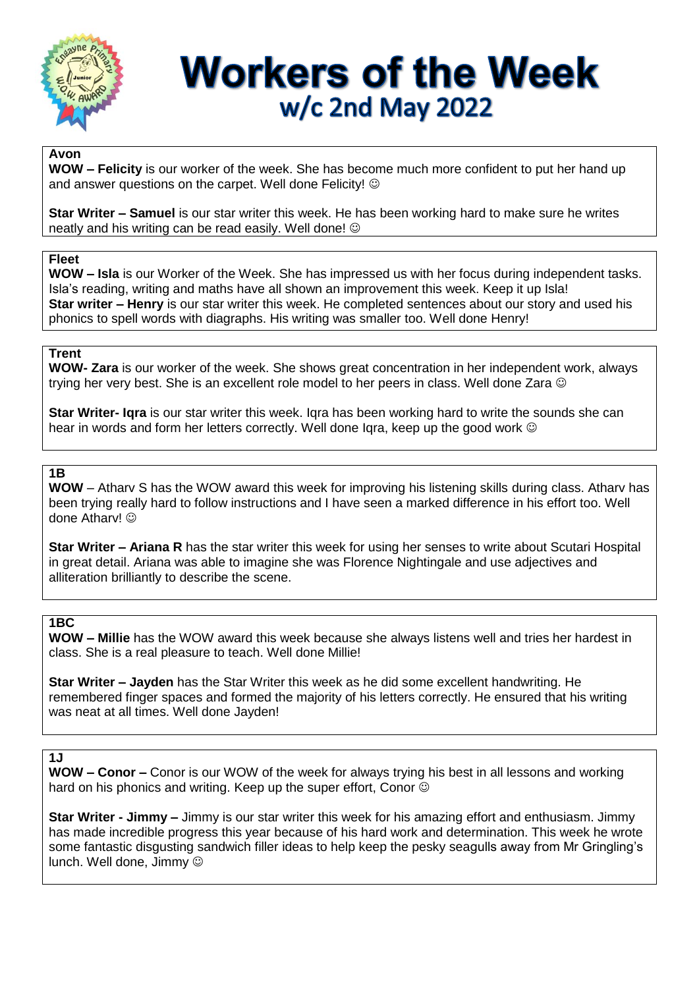

# **Workers of the Week** w/c 2nd May 2022

#### **Avon**

**WOW – Felicity** is our worker of the week. She has become much more confident to put her hand up and answer questions on the carpet. Well done Felicity!  $\odot$ 

**Star Writer – Samuel** is our star writer this week. He has been working hard to make sure he writes neatly and his writing can be read easily. Well done!

#### **Fleet**

**WOW – Isla** is our Worker of the Week. She has impressed us with her focus during independent tasks. Isla's reading, writing and maths have all shown an improvement this week. Keep it up Isla! **Star writer – Henry** is our star writer this week. He completed sentences about our story and used his phonics to spell words with diagraphs. His writing was smaller too. Well done Henry!

#### **Trent**

**WOW- Zara** is our worker of the week. She shows great concentration in her independent work, always trying her very best. She is an excellent role model to her peers in class. Well done Zara

**Star Writer- Iqra** is our star writer this week. Iqra has been working hard to write the sounds she can hear in words and form her letters correctly. Well done lara, keep up the good work  $\odot$ 

## **1B**

**WOW** – Atharv S has the WOW award this week for improving his listening skills during class. Atharv has been trying really hard to follow instructions and I have seen a marked difference in his effort too. Well done Atharv! ©

**Star Writer – Ariana R** has the star writer this week for using her senses to write about Scutari Hospital in great detail. Ariana was able to imagine she was Florence Nightingale and use adjectives and alliteration brilliantly to describe the scene.

#### **1BC**

**WOW – Millie** has the WOW award this week because she always listens well and tries her hardest in class. She is a real pleasure to teach. Well done Millie!

**Star Writer – Jayden** has the Star Writer this week as he did some excellent handwriting. He remembered finger spaces and formed the majority of his letters correctly. He ensured that his writing was neat at all times. Well done Jayden!

#### $\overline{1}$

**WOW – Conor –** Conor is our WOW of the week for always trying his best in all lessons and working hard on his phonics and writing. Keep up the super effort, Conor  $\odot$ 

**Star Writer - Jimmy –** Jimmy is our star writer this week for his amazing effort and enthusiasm. Jimmy has made incredible progress this year because of his hard work and determination. This week he wrote some fantastic disgusting sandwich filler ideas to help keep the pesky seagulls away from Mr Gringling's lunch. Well done, Jimmy